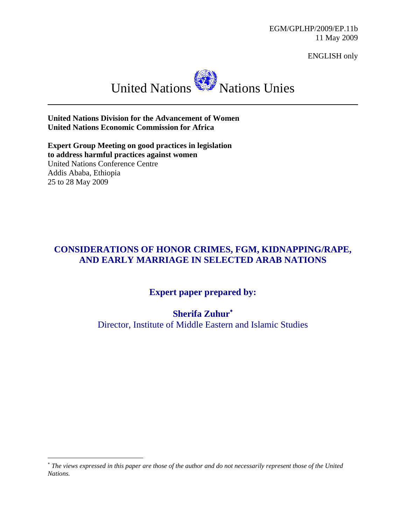EGM/GPLHP/2009/EP.11b 11 May 2009

ENGLISH only



**United Nations Division for the Advancement of Women United Nations Economic Commission for Africa**

**Expert Group Meeting on good practices in legislation to address harmful practices against women**  United Nations Conference Centre Addis Ababa, Ethiopia 25 to 28 May 2009

# **CONSIDERATIONS OF HONOR CRIMES, FGM, KIDNAPPING/RAPE, AND EARLY MARRIAGE IN SELECTED ARAB NATIONS**

# **Expert paper prepared by:**

**Sherifa Zuhur**<sup>∗</sup>

Director, Institute of Middle Eastern and Islamic Studies

<sup>∗</sup> *The views expressed in this paper are those of the author and do not necessarily represent those of the United Nations.*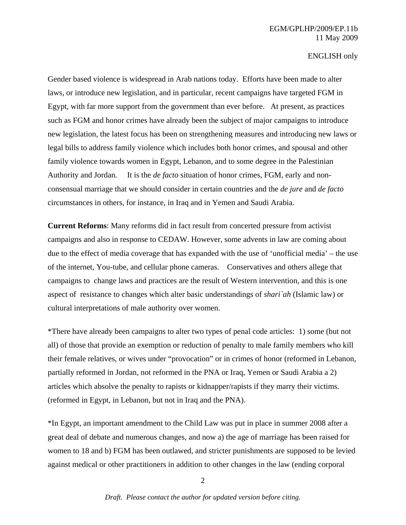Gender based violence is widespread in Arab nations today. Efforts have been made to alter laws, or introduce new legislation, and in particular, recent campaigns have targeted FGM in Egypt, with far more support from the government than ever before. At present, as practices such as FGM and honor crimes have already been the subject of major campaigns to introduce new legislation, the latest focus has been on strengthening measures and introducing new laws or legal bills to address family violence which includes both honor crimes, and spousal and other family violence towards women in Egypt, Lebanon, and to some degree in the Palestinian Authority and Jordan. It is the *de facto* situation of honor crimes, FGM, early and nonconsensual marriage that we should consider in certain countries and the *de jure* and *de facto* circumstances in others, for instance, in Iraq and in Yemen and Saudi Arabia.

**Current Reforms**: Many reforms did in fact result from concerted pressure from activist campaigns and also in response to CEDAW. However, some advents in law are coming about due to the effect of media coverage that has expanded with the use of 'unofficial media' – the use of the internet, You-tube, and cellular phone cameras. Conservatives and others allege that campaigns to change laws and practices are the result of Western intervention, and this is one aspect of resistance to changes which alter basic understandings of *shari`ah* (Islamic law) or cultural interpretations of male authority over women.

\*There have already been campaigns to alter two types of penal code articles: 1) some (but not all) of those that provide an exemption or reduction of penalty to male family members who kill their female relatives, or wives under "provocation" or in crimes of honor (reformed in Lebanon, partially reformed in Jordan, not reformed in the PNA or Iraq, Yemen or Saudi Arabia a 2) articles which absolve the penalty to rapists or kidnapper/rapists if they marry their victims. (reformed in Egypt, in Lebanon, but not in Iraq and the PNA).

\*In Egypt, an important amendment to the Child Law was put in place in summer 2008 after a great deal of debate and numerous changes, and now a) the age of marriage has been raised for women to 18 and b) FGM has been outlawed, and stricter punishments are supposed to be levied against medical or other practitioners in addition to other changes in the law (ending corporal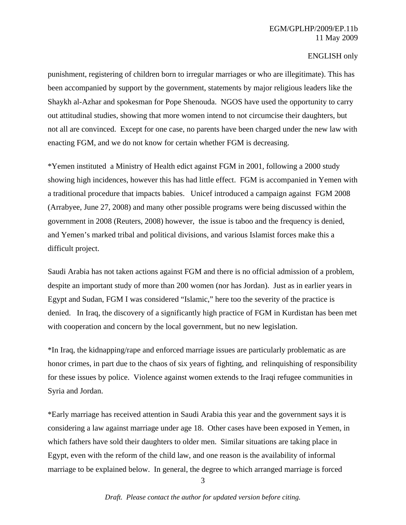punishment, registering of children born to irregular marriages or who are illegitimate). This has been accompanied by support by the government, statements by major religious leaders like the Shaykh al-Azhar and spokesman for Pope Shenouda. NGOS have used the opportunity to carry out attitudinal studies, showing that more women intend to not circumcise their daughters, but not all are convinced. Except for one case, no parents have been charged under the new law with enacting FGM, and we do not know for certain whether FGM is decreasing.

\*Yemen instituted a Ministry of Health edict against FGM in 2001, following a 2000 study showing high incidences, however this has had little effect. FGM is accompanied in Yemen with a traditional procedure that impacts babies. Unicef introduced a campaign against FGM 2008 (Arrabyee, June 27, 2008) and many other possible programs were being discussed within the government in 2008 (Reuters, 2008) however, the issue is taboo and the frequency is denied, and Yemen's marked tribal and political divisions, and various Islamist forces make this a difficult project.

Saudi Arabia has not taken actions against FGM and there is no official admission of a problem, despite an important study of more than 200 women (nor has Jordan). Just as in earlier years in Egypt and Sudan, FGM I was considered "Islamic," here too the severity of the practice is denied. In Iraq, the discovery of a significantly high practice of FGM in Kurdistan has been met with cooperation and concern by the local government, but no new legislation.

\*In Iraq, the kidnapping/rape and enforced marriage issues are particularly problematic as are honor crimes, in part due to the chaos of six years of fighting, and relinquishing of responsibility for these issues by police. Violence against women extends to the Iraqi refugee communities in Syria and Jordan.

\*Early marriage has received attention in Saudi Arabia this year and the government says it is considering a law against marriage under age 18. Other cases have been exposed in Yemen, in which fathers have sold their daughters to older men. Similar situations are taking place in Egypt, even with the reform of the child law, and one reason is the availability of informal marriage to be explained below. In general, the degree to which arranged marriage is forced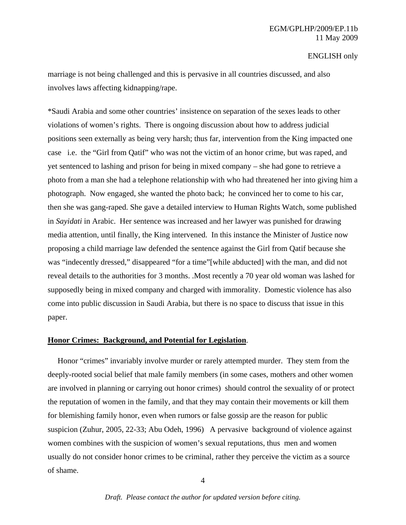## EGM/GPLHP/2009/EP.11b 11 May 2009

### ENGLISH only

marriage is not being challenged and this is pervasive in all countries discussed, and also involves laws affecting kidnapping/rape.

\*Saudi Arabia and some other countries' insistence on separation of the sexes leads to other violations of women's rights. There is ongoing discussion about how to address judicial positions seen externally as being very harsh; thus far, intervention from the King impacted one case i.e. the "Girl from Qatif" who was not the victim of an honor crime, but was raped, and yet sentenced to lashing and prison for being in mixed company – she had gone to retrieve a photo from a man she had a telephone relationship with who had threatened her into giving him a photograph. Now engaged, she wanted the photo back; he convinced her to come to his car, then she was gang-raped. She gave a detailed interview to Human Rights Watch, some published in *Sayidati* in Arabic. Her sentence was increased and her lawyer was punished for drawing media attention, until finally, the King intervened. In this instance the Minister of Justice now proposing a child marriage law defended the sentence against the Girl from Qatif because she was "indecently dressed," disappeared "for a time"[while abducted] with the man, and did not reveal details to the authorities for 3 months. .Most recently a 70 year old woman was lashed for supposedly being in mixed company and charged with immorality. Domestic violence has also come into public discussion in Saudi Arabia, but there is no space to discuss that issue in this paper.

## **Honor Crimes: Background, and Potential for Legislation**.

 Honor "crimes" invariably involve murder or rarely attempted murder. They stem from the deeply-rooted social belief that male family members (in some cases, mothers and other women are involved in planning or carrying out honor crimes) should control the sexuality of or protect the reputation of women in the family, and that they may contain their movements or kill them for blemishing family honor, even when rumors or false gossip are the reason for public suspicion (Zuhur, 2005, 22-33; Abu Odeh, 1996) A pervasive background of violence against women combines with the suspicion of women's sexual reputations, thus men and women usually do not consider honor crimes to be criminal, rather they perceive the victim as a source of shame.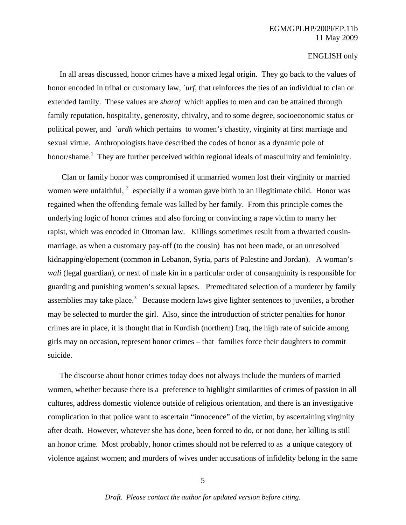In all areas discussed, honor crimes have a mixed legal origin. They go back to the values of honor encoded in tribal or customary law, `*urf*, that reinforces the ties of an individual to clan or extended family. These values are *sharaf* which applies to men and can be attained through family reputation, hospitality, generosity, chivalry, and to some degree, socioeconomic status or political power, and `*ardh* which pertains to women's chastity, virginity at first marriage and sexual virtue. Anthropologists have described the codes of honor as a dynamic pole of honor/shame.<sup>1</sup> They are further perceived within regional ideals of masculinity and femininity.

 Clan or family honor was compromised if unmarried women lost their virginity or married women were unfaithful,  $2$  especially if a woman gave birth to an illegitimate child. Honor was regained when the offending female was killed by her family. From this principle comes the underlying logic of honor crimes and also forcing or convincing a rape victim to marry her rapist, which was encoded in Ottoman law. Killings sometimes result from a thwarted cousinmarriage, as when a customary pay-off (to the cousin) has not been made, or an unresolved kidnapping/elopement (common in Lebanon, Syria, parts of Palestine and Jordan). A woman's *wali* (legal guardian), or next of male kin in a particular order of consanguinity is responsible for guarding and punishing women's sexual lapses. Premeditated selection of a murderer by family assemblies may take place.<sup>3</sup> Because modern laws give lighter sentences to juveniles, a brother may be selected to murder the girl. Also, since the introduction of stricter penalties for honor crimes are in place, it is thought that in Kurdish (northern) Iraq, the high rate of suicide among girls may on occasion, represent honor crimes – that families force their daughters to commit suicide.

 The discourse about honor crimes today does not always include the murders of married women, whether because there is a preference to highlight similarities of crimes of passion in all cultures, address domestic violence outside of religious orientation, and there is an investigative complication in that police want to ascertain "innocence" of the victim, by ascertaining virginity after death. However, whatever she has done, been forced to do, or not done, her killing is still an honor crime. Most probably, honor crimes should not be referred to as a unique category of violence against women; and murders of wives under accusations of infidelity belong in the same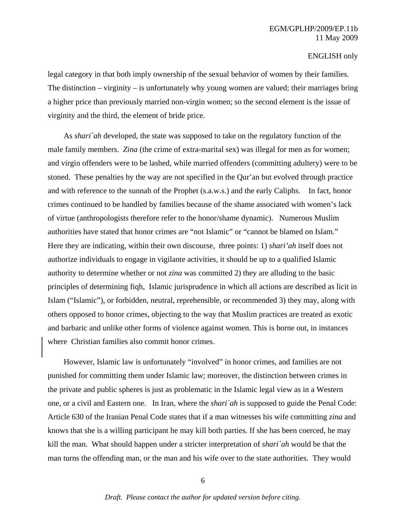legal category in that both imply ownership of the sexual behavior of women by their families. The distinction – virginity – is unfortunately why young women are valued; their marriages bring a higher price than previously married non-virgin women; so the second element is the issue of virginity and the third, the element of bride price.

 As *shari`ah* developed, the state was supposed to take on the regulatory function of the male family members. *Zina* (the crime of extra-marital sex) was illegal for men as for women; and virgin offenders were to be lashed, while married offenders (committing adultery) were to be stoned. These penalties by the way are not specified in the Qur'an but evolved through practice and with reference to the sunnah of the Prophet (s.a.w.s.) and the early Caliphs. In fact, honor crimes continued to be handled by families because of the shame associated with women's lack of virtue (anthropologists therefore refer to the honor/shame dynamic). Numerous Muslim authorities have stated that honor crimes are "not Islamic" or "cannot be blamed on Islam." Here they are indicating, within their own discourse, three points: 1) *shari'ah* itself does not authorize individuals to engage in vigilante activities, it should be up to a qualified Islamic authority to determine whether or not *zina* was committed 2) they are alluding to the basic principles of determining fiqh, Islamic jurisprudence in which all actions are described as licit in Islam ("Islamic"), or forbidden, neutral, reprehensible, or recommended 3) they may, along with others opposed to honor crimes, objecting to the way that Muslim practices are treated as exotic and barbaric and unlike other forms of violence against women. This is borne out, in instances where Christian families also commit honor crimes.

 However, Islamic law is unfortunately "involved" in honor crimes, and families are not punished for committing them under Islamic law; moreover, the distinction between crimes in the private and public spheres is just as problematic in the Islamic legal view as in a Western one, or a civil and Eastern one. In Iran, where the *shari`ah* is supposed to guide the Penal Code: Article 630 of the Iranian Penal Code states that if a man witnesses his wife committing *zina* and knows that she is a willing participant he may kill both parties. If she has been coerced, he may kill the man. What should happen under a stricter interpretation of *shari`ah* would be that the man turns the offending man, or the man and his wife over to the state authorities. They would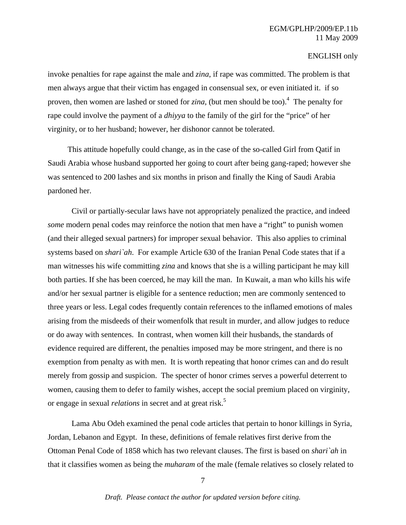invoke penalties for rape against the male and *zina*, if rape was committed. The problem is that men always argue that their victim has engaged in consensual sex, or even initiated it. if so proven, then women are lashed or stoned for *zina*, (but men should be too).4 The penalty for rape could involve the payment of a *dhiyya* to the family of the girl for the "price" of her virginity, or to her husband; however, her dishonor cannot be tolerated.

 This attitude hopefully could change, as in the case of the so-called Girl from Qatif in Saudi Arabia whose husband supported her going to court after being gang-raped; however she was sentenced to 200 lashes and six months in prison and finally the King of Saudi Arabia pardoned her.

 Civil or partially-secular laws have not appropriately penalized the practice, and indeed *some* modern penal codes may reinforce the notion that men have a "right" to punish women (and their alleged sexual partners) for improper sexual behavior. This also applies to criminal systems based on *shari`ah*. For example Article 630 of the Iranian Penal Code states that if a man witnesses his wife committing *zina* and knows that she is a willing participant he may kill both parties. If she has been coerced, he may kill the man. In Kuwait, a man who kills his wife and/or her sexual partner is eligible for a sentence reduction; men are commonly sentenced to three years or less. Legal codes frequently contain references to the inflamed emotions of males arising from the misdeeds of their womenfolk that result in murder, and allow judges to reduce or do away with sentences. In contrast, when women kill their husbands, the standards of evidence required are different, the penalties imposed may be more stringent, and there is no exemption from penalty as with men. It is worth repeating that honor crimes can and do result merely from gossip and suspicion. The specter of honor crimes serves a powerful deterrent to women, causing them to defer to family wishes, accept the social premium placed on virginity, or engage in sexual *relations* in secret and at great risk.5

Lama Abu Odeh examined the penal code articles that pertain to honor killings in Syria, Jordan, Lebanon and Egypt. In these, definitions of female relatives first derive from the Ottoman Penal Code of 1858 which has two relevant clauses. The first is based on *shari`ah* in that it classifies women as being the *muharam* of the male (female relatives so closely related to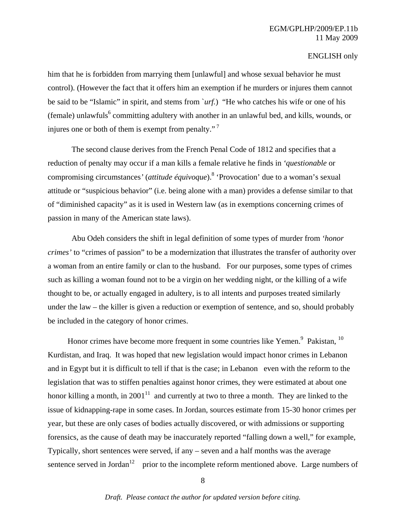him that he is forbidden from marrying them [unlawful] and whose sexual behavior he must control). (However the fact that it offers him an exemption if he murders or injures them cannot be said to be "Islamic" in spirit, and stems from `*urf.*) "He who catches his wife or one of his (female) unlawfuls<sup>6</sup> committing adultery with another in an unlawful bed, and kills, wounds, or injures one or both of them is exempt from penalty."<sup>7</sup>

The second clause derives from the French Penal Code of 1812 and specifies that a reduction of penalty may occur if a man kills a female relative he finds in *'questionable* or compromising circumstances*'* (*attitude équivoque*).8 'Provocation' due to a woman's sexual attitude or "suspicious behavior" (i.e. being alone with a man) provides a defense similar to that of "diminished capacity" as it is used in Western law (as in exemptions concerning crimes of passion in many of the American state laws).

Abu Odeh considers the shift in legal definition of some types of murder from *'honor crimes'* to "crimes of passion" to be a modernization that illustrates the transfer of authority over a woman from an entire family or clan to the husband. For our purposes, some types of crimes such as killing a woman found not to be a virgin on her wedding night, or the killing of a wife thought to be, or actually engaged in adultery, is to all intents and purposes treated similarly under the law – the killer is given a reduction or exemption of sentence, and so, should probably be included in the category of honor crimes.

Honor crimes have become more frequent in some countries like Yemen. $9$  Pakistan,  $10$ Kurdistan, and Iraq. It was hoped that new legislation would impact honor crimes in Lebanon and in Egypt but it is difficult to tell if that is the case; in Lebanon even with the reform to the legislation that was to stiffen penalties against honor crimes, they were estimated at about one honor killing a month, in 2001<sup>11</sup> and currently at two to three a month. They are linked to the issue of kidnapping-rape in some cases. In Jordan, sources estimate from 15-30 honor crimes per year, but these are only cases of bodies actually discovered, or with admissions or supporting forensics, as the cause of death may be inaccurately reported "falling down a well," for example, Typically, short sentences were served, if any – seven and a half months was the average sentence served in Jordan<sup>12</sup> prior to the incomplete reform mentioned above. Large numbers of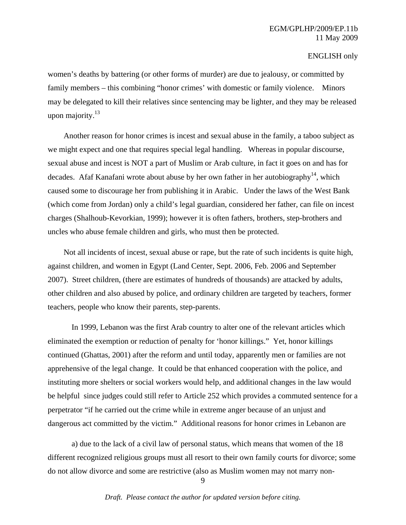women's deaths by battering (or other forms of murder) are due to jealousy, or committed by family members – this combining "honor crimes' with domestic or family violence. Minors may be delegated to kill their relatives since sentencing may be lighter, and they may be released upon majority. $^{13}$ 

 Another reason for honor crimes is incest and sexual abuse in the family, a taboo subject as we might expect and one that requires special legal handling. Whereas in popular discourse, sexual abuse and incest is NOT a part of Muslim or Arab culture, in fact it goes on and has for decades. Afaf Kanafani wrote about abuse by her own father in her autobiography<sup>14</sup>, which caused some to discourage her from publishing it in Arabic. Under the laws of the West Bank (which come from Jordan) only a child's legal guardian, considered her father, can file on incest charges (Shalhoub-Kevorkian, 1999); however it is often fathers, brothers, step-brothers and uncles who abuse female children and girls, who must then be protected.

 Not all incidents of incest, sexual abuse or rape, but the rate of such incidents is quite high, against children, and women in Egypt (Land Center, Sept. 2006, Feb. 2006 and September 2007). Street children, (there are estimates of hundreds of thousands) are attacked by adults, other children and also abused by police, and ordinary children are targeted by teachers, former teachers, people who know their parents, step-parents.

In 1999, Lebanon was the first Arab country to alter one of the relevant articles which eliminated the exemption or reduction of penalty for 'honor killings." Yet, honor killings continued (Ghattas, 2001) after the reform and until today, apparently men or families are not apprehensive of the legal change. It could be that enhanced cooperation with the police, and instituting more shelters or social workers would help, and additional changes in the law would be helpful since judges could still refer to Article 252 which provides a commuted sentence for a perpetrator "if he carried out the crime while in extreme anger because of an unjust and dangerous act committed by the victim." Additional reasons for honor crimes in Lebanon are

a) due to the lack of a civil law of personal status, which means that women of the 18 different recognized religious groups must all resort to their own family courts for divorce; some do not allow divorce and some are restrictive (also as Muslim women may not marry non-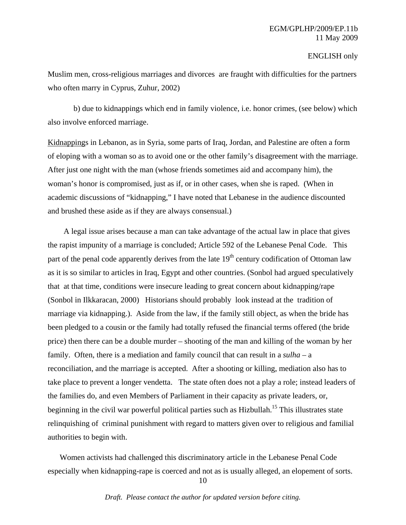Muslim men, cross-religious marriages and divorces are fraught with difficulties for the partners who often marry in Cyprus, Zuhur, 2002)

 b) due to kidnappings which end in family violence, i.e. honor crimes, (see below) which also involve enforced marriage.

Kidnappings in Lebanon, as in Syria, some parts of Iraq, Jordan, and Palestine are often a form of eloping with a woman so as to avoid one or the other family's disagreement with the marriage. After just one night with the man (whose friends sometimes aid and accompany him), the woman's honor is compromised, just as if, or in other cases, when she is raped. (When in academic discussions of "kidnapping," I have noted that Lebanese in the audience discounted and brushed these aside as if they are always consensual.)

 A legal issue arises because a man can take advantage of the actual law in place that gives the rapist impunity of a marriage is concluded; Article 592 of the Lebanese Penal Code. This part of the penal code apparently derives from the late  $19<sup>th</sup>$  century codification of Ottoman law as it is so similar to articles in Iraq, Egypt and other countries. (Sonbol had argued speculatively that at that time, conditions were insecure leading to great concern about kidnapping/rape (Sonbol in Ilkkaracan, 2000) Historians should probably look instead at the tradition of marriage via kidnapping.). Aside from the law, if the family still object, as when the bride has been pledged to a cousin or the family had totally refused the financial terms offered (the bride price) then there can be a double murder – shooting of the man and killing of the woman by her family. Often, there is a mediation and family council that can result in a *sulha –* a reconciliation, and the marriage is accepted. After a shooting or killing, mediation also has to take place to prevent a longer vendetta. The state often does not a play a role; instead leaders of the families do, and even Members of Parliament in their capacity as private leaders, or, beginning in the civil war powerful political parties such as Hizbullah.<sup>15</sup> This illustrates state relinquishing of criminal punishment with regard to matters given over to religious and familial authorities to begin with.

 Women activists had challenged this discriminatory article in the Lebanese Penal Code especially when kidnapping-rape is coerced and not as is usually alleged, an elopement of sorts.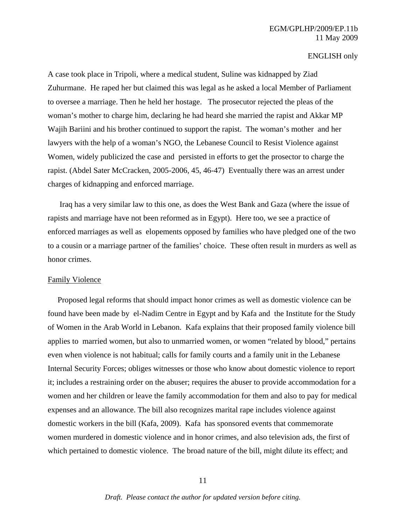## EGM/GPLHP/2009/EP.11b 11 May 2009

#### ENGLISH only

A case took place in Tripoli, where a medical student, Suline was kidnapped by Ziad Zuhurmane. He raped her but claimed this was legal as he asked a local Member of Parliament to oversee a marriage. Then he held her hostage. The prosecutor rejected the pleas of the woman's mother to charge him, declaring he had heard she married the rapist and Akkar MP Wajih Bariini and his brother continued to support the rapist. The woman's mother and her lawyers with the help of a woman's NGO, the Lebanese Council to Resist Violence against Women, widely publicized the case and persisted in efforts to get the prosector to charge the rapist. (Abdel Sater McCracken, 2005-2006, 45, 46-47) Eventually there was an arrest under charges of kidnapping and enforced marriage.

 Iraq has a very similar law to this one, as does the West Bank and Gaza (where the issue of rapists and marriage have not been reformed as in Egypt). Here too, we see a practice of enforced marriages as well as elopements opposed by families who have pledged one of the two to a cousin or a marriage partner of the families' choice. These often result in murders as well as honor crimes.

#### Family Violence

 Proposed legal reforms that should impact honor crimes as well as domestic violence can be found have been made by el-Nadim Centre in Egypt and by Kafa and the Institute for the Study of Women in the Arab World in Lebanon. Kafa explains that their proposed family violence bill applies to married women, but also to unmarried women, or women "related by blood," pertains even when violence is not habitual; calls for family courts and a family unit in the Lebanese Internal Security Forces; obliges witnesses or those who know about domestic violence to report it; includes a restraining order on the abuser; requires the abuser to provide accommodation for a women and her children or leave the family accommodation for them and also to pay for medical expenses and an allowance. The bill also recognizes marital rape includes violence against domestic workers in the bill (Kafa, 2009). Kafa has sponsored events that commemorate women murdered in domestic violence and in honor crimes, and also television ads, the first of which pertained to domestic violence. The broad nature of the bill, might dilute its effect; and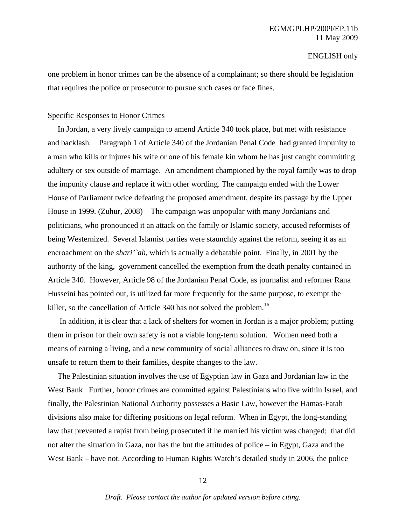one problem in honor crimes can be the absence of a complainant; so there should be legislation that requires the police or prosecutor to pursue such cases or face fines.

#### Specific Responses to Honor Crimes

 In Jordan, a very lively campaign to amend Article 340 took place, but met with resistance and backlash. Paragraph 1 of Article 340 of the Jordanian Penal Code had granted impunity to a man who kills or injures his wife or one of his female kin whom he has just caught committing adultery or sex outside of marriage. An amendment championed by the royal family was to drop the impunity clause and replace it with other wording. The campaign ended with the Lower House of Parliament twice defeating the proposed amendment, despite its passage by the Upper House in 1999. (Zuhur, 2008) The campaign was unpopular with many Jordanians and politicians, who pronounced it an attack on the family or Islamic society, accused reformists of being Westernized. Several Islamist parties were staunchly against the reform, seeing it as an encroachment on the *shari'`ah*, which is actually a debatable point. Finally, in 2001 by the authority of the king, government cancelled the exemption from the death penalty contained in Article 340. However, Article 98 of the Jordanian Penal Code, as journalist and reformer Rana Husseini has pointed out, is utilized far more frequently for the same purpose, to exempt the killer, so the cancellation of Article 340 has not solved the problem.<sup>16</sup>

 In addition, it is clear that a lack of shelters for women in Jordan is a major problem; putting them in prison for their own safety is not a viable long-term solution. Women need both a means of earning a living, and a new community of social alliances to draw on, since it is too unsafe to return them to their families, despite changes to the law.

 The Palestinian situation involves the use of Egyptian law in Gaza and Jordanian law in the West Bank Further, honor crimes are committed against Palestinians who live within Israel, and finally, the Palestinian National Authority possesses a Basic Law, however the Hamas-Fatah divisions also make for differing positions on legal reform. When in Egypt, the long-standing law that prevented a rapist from being prosecuted if he married his victim was changed; that did not alter the situation in Gaza, nor has the but the attitudes of police – in Egypt, Gaza and the West Bank – have not. According to Human Rights Watch's detailed study in 2006, the police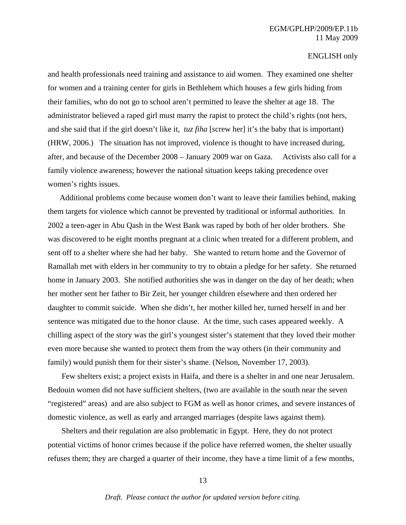and health professionals need training and assistance to aid women. They examined one shelter for women and a training center for girls in Bethlehem which houses a few girls hiding from their families, who do not go to school aren't permitted to leave the shelter at age 18. The administrator believed a raped girl must marry the rapist to protect the child's rights (not hers, and she said that if the girl doesn't like it*, tuz fiha* [screw her] it's the baby that is important) (HRW, 2006.) The situation has not improved, violence is thought to have increased during, after, and because of the December 2008 – January 2009 war on Gaza. Activists also call for a family violence awareness; however the national situation keeps taking precedence over women's rights issues.

 Additional problems come because women don't want to leave their families behind, making them targets for violence which cannot be prevented by traditional or informal authorities. In 2002 a teen-ager in Abu Qash in the West Bank was raped by both of her older brothers. She was discovered to be eight months pregnant at a clinic when treated for a different problem, and sent off to a shelter where she had her baby. She wanted to return home and the Governor of Ramallah met with elders in her community to try to obtain a pledge for her safety. She returned home in January 2003. She notified authorities she was in danger on the day of her death; when her mother sent her father to Bir Zeit, her younger children elsewhere and then ordered her daughter to commit suicide. When she didn't, her mother killed her, turned herself in and her sentence was mitigated due to the honor clause. At the time, such cases appeared weekly. A chilling aspect of the story was the girl's youngest sister's statement that they loved their mother even more because she wanted to protect them from the way others (in their community and family) would punish them for their sister's shame. (Nelson, November 17, 2003).

 Few shelters exist; a project exists in Haifa, and there is a shelter in and one near Jerusalem. Bedouin women did not have sufficient shelters, (two are available in the south near the seven "registered" areas) and are also subject to FGM as well as honor crimes, and severe instances of domestic violence, as well as early and arranged marriages (despite laws against them).

 Shelters and their regulation are also problematic in Egypt. Here, they do not protect potential victims of honor crimes because if the police have referred women, the shelter usually refuses them; they are charged a quarter of their income, they have a time limit of a few months,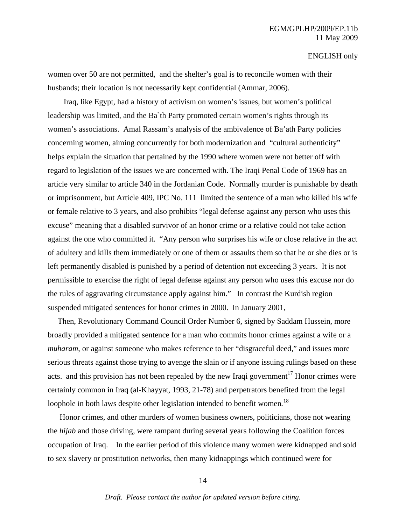women over 50 are not permitted, and the shelter's goal is to reconcile women with their husbands; their location is not necessarily kept confidential (Ammar, 2006).

 Iraq, like Egypt, had a history of activism on women's issues, but women's political leadership was limited, and the Ba`th Party promoted certain women's rights through its women's associations. Amal Rassam's analysis of the ambivalence of Ba'ath Party policies concerning women, aiming concurrently for both modernization and "cultural authenticity" helps explain the situation that pertained by the 1990 where women were not better off with regard to legislation of the issues we are concerned with. The Iraqi Penal Code of 1969 has an article very similar to article 340 in the Jordanian Code. Normally murder is punishable by death or imprisonment, but Article 409, IPC No. 111 limited the sentence of a man who killed his wife or female relative to 3 years, and also prohibits "legal defense against any person who uses this excuse" meaning that a disabled survivor of an honor crime or a relative could not take action against the one who committed it. "Any person who surprises his wife or close relative in the act of adultery and kills them immediately or one of them or assaults them so that he or she dies or is left permanently disabled is punished by a period of detention not exceeding 3 years. It is not permissible to exercise the right of legal defense against any person who uses this excuse nor do the rules of aggravating circumstance apply against him." In contrast the Kurdish region suspended mitigated sentences for honor crimes in 2000. In January 2001,

 Then, Revolutionary Command Council Order Number 6, signed by Saddam Hussein, more broadly provided a mitigated sentence for a man who commits honor crimes against a wife or a *muharam*, or against someone who makes reference to her "disgraceful deed," and issues more serious threats against those trying to avenge the slain or if anyone issuing rulings based on these acts. and this provision has not been repealed by the new Iraqi government<sup>17</sup> Honor crimes were certainly common in Iraq (al-Khayyat, 1993, 21-78) and perpetrators benefited from the legal loophole in both laws despite other legislation intended to benefit women*.* 18

Honor crimes, and other murders of women business owners, politicians, those not wearing the *hijab* and those driving, were rampant during several years following the Coalition forces occupation of Iraq. In the earlier period of this violence many women were kidnapped and sold to sex slavery or prostitution networks, then many kidnappings which continued were for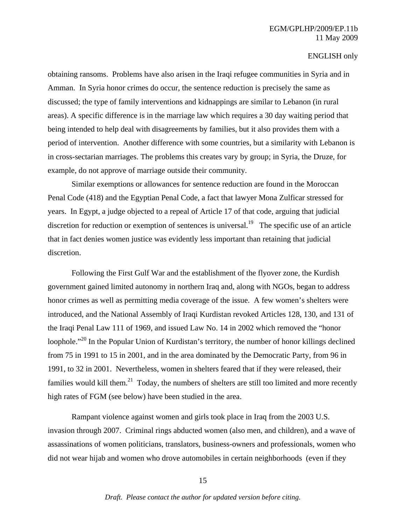obtaining ransoms. Problems have also arisen in the Iraqi refugee communities in Syria and in Amman. In Syria honor crimes do occur, the sentence reduction is precisely the same as discussed; the type of family interventions and kidnappings are similar to Lebanon (in rural areas). A specific difference is in the marriage law which requires a 30 day waiting period that being intended to help deal with disagreements by families, but it also provides them with a period of intervention. Another difference with some countries, but a similarity with Lebanon is in cross-sectarian marriages. The problems this creates vary by group; in Syria, the Druze, for example, do not approve of marriage outside their community.

Similar exemptions or allowances for sentence reduction are found in the Moroccan Penal Code (418) and the Egyptian Penal Code, a fact that lawyer Mona Zulficar stressed for years. In Egypt, a judge objected to a repeal of Article 17 of that code, arguing that judicial discretion for reduction or exemption of sentences is universal.<sup>19</sup> The specific use of an article that in fact denies women justice was evidently less important than retaining that judicial discretion.

Following the First Gulf War and the establishment of the flyover zone, the Kurdish government gained limited autonomy in northern Iraq and, along with NGOs, began to address honor crimes as well as permitting media coverage of the issue. A few women's shelters were introduced, and the National Assembly of Iraqi Kurdistan revoked Articles 128, 130, and 131 of the Iraqi Penal Law 111 of 1969, and issued Law No. 14 in 2002 which removed the "honor loophole."<sup>20</sup> In the Popular Union of Kurdistan's territory, the number of honor killings declined from 75 in 1991 to 15 in 2001, and in the area dominated by the Democratic Party, from 96 in 1991, to 32 in 2001. Nevertheless, women in shelters feared that if they were released, their families would kill them.<sup>21</sup> Today, the numbers of shelters are still too limited and more recently high rates of FGM (see below) have been studied in the area.

Rampant violence against women and girls took place in Iraq from the 2003 U.S. invasion through 2007. Criminal rings abducted women (also men, and children), and a wave of assassinations of women politicians, translators, business-owners and professionals, women who did not wear hijab and women who drove automobiles in certain neighborhoods (even if they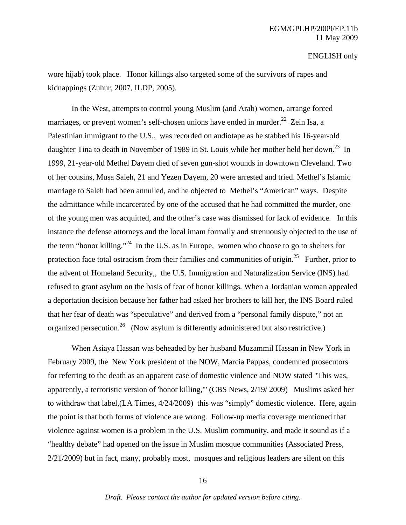wore hijab) took place. Honor killings also targeted some of the survivors of rapes and kidnappings (Zuhur, 2007, ILDP, 2005).

In the West, attempts to control young Muslim (and Arab) women, arrange forced marriages, or prevent women's self-chosen unions have ended in murder.<sup>22</sup> Zein Isa, a Palestinian immigrant to the U.S., was recorded on audiotape as he stabbed his 16-year-old daughter Tina to death in November of 1989 in St. Louis while her mother held her down.<sup>23</sup> In 1999, 21-year-old Methel Dayem died of seven gun-shot wounds in downtown Cleveland. Two of her cousins, Musa Saleh, 21 and Yezen Dayem, 20 were arrested and tried. Methel's Islamic marriage to Saleh had been annulled, and he objected to Methel's "American" ways. Despite the admittance while incarcerated by one of the accused that he had committed the murder, one of the young men was acquitted, and the other's case was dismissed for lack of evidence. In this instance the defense attorneys and the local imam formally and strenuously objected to the use of the term "honor killing."24 In the U.S. as in Europe, women who choose to go to shelters for protection face total ostracism from their families and communities of origin.<sup>25</sup> Further, prior to the advent of Homeland Security,, the U.S. Immigration and Naturalization Service (INS) had refused to grant asylum on the basis of fear of honor killings*.* When a Jordanian woman appealed a deportation decision because her father had asked her brothers to kill her, the INS Board ruled that her fear of death was "speculative" and derived from a "personal family dispute," not an organized persecution.<sup>26</sup> (Now asylum is differently administered but also restrictive.)

When Asiaya Hassan was beheaded by her husband Muzammil Hassan in New York in February 2009, the New York president of the NOW, Marcia Pappas, condemned prosecutors for referring to the death as an apparent case of domestic violence and NOW stated "This was, apparently, a terroristic version of 'honor killing,"' (CBS News, 2/19/ 2009) Muslims asked her to withdraw that label,(LA Times, 4/24/2009) this was "simply" domestic violence. Here, again the point is that both forms of violence are wrong. Follow-up media coverage mentioned that violence against women is a problem in the U.S. Muslim community, and made it sound as if a "healthy debate" had opened on the issue in Muslim mosque communities (Associated Press, 2/21/2009) but in fact, many, probably most, mosques and religious leaders are silent on this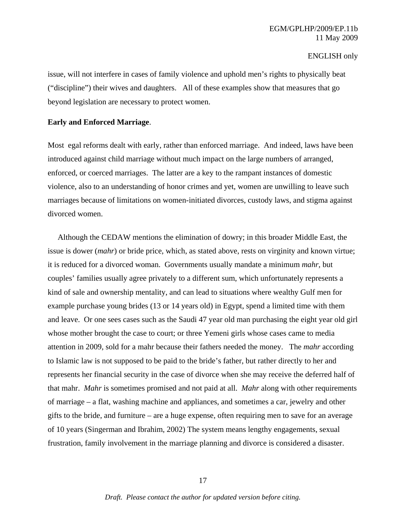issue, will not interfere in cases of family violence and uphold men's rights to physically beat ("discipline") their wives and daughters. All of these examples show that measures that go beyond legislation are necessary to protect women.

#### **Early and Enforced Marriage**.

Most egal reforms dealt with early, rather than enforced marriage. And indeed, laws have been introduced against child marriage without much impact on the large numbers of arranged, enforced, or coerced marriages. The latter are a key to the rampant instances of domestic violence, also to an understanding of honor crimes and yet, women are unwilling to leave such marriages because of limitations on women-initiated divorces, custody laws, and stigma against divorced women.

 Although the CEDAW mentions the elimination of dowry; in this broader Middle East, the issue is dower (*mahr*) or bride price, which, as stated above, rests on virginity and known virtue; it is reduced for a divorced woman. Governments usually mandate a minimum *mahr,* but couples' families usually agree privately to a different sum, which unfortunately represents a kind of sale and ownership mentality, and can lead to situations where wealthy Gulf men for example purchase young brides (13 or 14 years old) in Egypt, spend a limited time with them and leave. Or one sees cases such as the Saudi 47 year old man purchasing the eight year old girl whose mother brought the case to court; or three Yemeni girls whose cases came to media attention in 2009, sold for a mahr because their fathers needed the money. The *mahr* according to Islamic law is not supposed to be paid to the bride's father, but rather directly to her and represents her financial security in the case of divorce when she may receive the deferred half of that mahr. *Mahr* is sometimes promised and not paid at all. *Mahr* along with other requirements of marriage – a flat, washing machine and appliances, and sometimes a car, jewelry and other gifts to the bride, and furniture – are a huge expense, often requiring men to save for an average of 10 years (Singerman and Ibrahim, 2002) The system means lengthy engagements, sexual frustration, family involvement in the marriage planning and divorce is considered a disaster.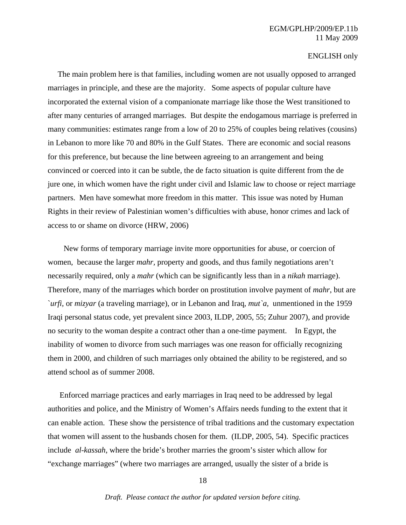The main problem here is that families, including women are not usually opposed to arranged marriages in principle, and these are the majority. Some aspects of popular culture have incorporated the external vision of a companionate marriage like those the West transitioned to after many centuries of arranged marriages. But despite the endogamous marriage is preferred in many communities: estimates range from a low of 20 to 25% of couples being relatives (cousins) in Lebanon to more like 70 and 80% in the Gulf States. There are economic and social reasons for this preference, but because the line between agreeing to an arrangement and being convinced or coerced into it can be subtle, the de facto situation is quite different from the de jure one, in which women have the right under civil and Islamic law to choose or reject marriage partners. Men have somewhat more freedom in this matter. This issue was noted by Human Rights in their review of Palestinian women's difficulties with abuse, honor crimes and lack of access to or shame on divorce (HRW, 2006)

 New forms of temporary marriage invite more opportunities for abuse, or coercion of women, because the larger *mahr,* property and goods, and thus family negotiations aren't necessarily required, only a *mahr* (which can be significantly less than in a *nikah* marriage). Therefore, many of the marriages which border on prostitution involve payment of *mahr*, but are `*urfi,* or *mizyar* (a traveling marriage), or in Lebanon and Iraq*, mut`a,* unmentioned in the 1959 Iraqi personal status code, yet prevalent since 2003, ILDP, 2005, 55; Zuhur 2007), and provide no security to the woman despite a contract other than a one-time payment. In Egypt, the inability of women to divorce from such marriages was one reason for officially recognizing them in 2000, and children of such marriages only obtained the ability to be registered, and so attend school as of summer 2008.

 Enforced marriage practices and early marriages in Iraq need to be addressed by legal authorities and police, and the Ministry of Women's Affairs needs funding to the extent that it can enable action. These show the persistence of tribal traditions and the customary expectation that women will assent to the husbands chosen for them. (ILDP, 2005, 54). Specific practices include *al-kassah*, where the bride's brother marries the groom's sister which allow for "exchange marriages" (where two marriages are arranged, usually the sister of a bride is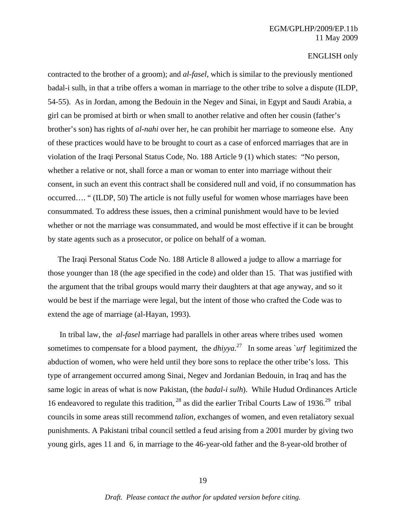contracted to the brother of a groom); and *al-fasel*, which is similar to the previously mentioned badal-i sulh, in that a tribe offers a woman in marriage to the other tribe to solve a dispute (ILDP, 54-55). As in Jordan, among the Bedouin in the Negev and Sinai, in Egypt and Saudi Arabia, a girl can be promised at birth or when small to another relative and often her cousin (father's brother's son) has rights of *al-nahi* over her, he can prohibit her marriage to someone else. Any of these practices would have to be brought to court as a case of enforced marriages that are in violation of the Iraqi Personal Status Code, No. 188 Article 9 (1) which states: "No person, whether a relative or not, shall force a man or woman to enter into marriage without their consent, in such an event this contract shall be considered null and void, if no consummation has occurred…. " (ILDP, 50) The article is not fully useful for women whose marriages have been consummated. To address these issues, then a criminal punishment would have to be levied whether or not the marriage was consummated, and would be most effective if it can be brought by state agents such as a prosecutor, or police on behalf of a woman.

 The Iraqi Personal Status Code No. 188 Article 8 allowed a judge to allow a marriage for those younger than 18 (the age specified in the code) and older than 15. That was justified with the argument that the tribal groups would marry their daughters at that age anyway, and so it would be best if the marriage were legal, but the intent of those who crafted the Code was to extend the age of marriage (al-Hayan, 1993).

 In tribal law, the *al-fasel* marriage had parallels in other areas where tribes used women sometimes to compensate for a blood payment, the *dhiyya.*27 In some areas `*urf* legitimized the abduction of women, who were held until they bore sons to replace the other tribe's loss. This type of arrangement occurred among Sinai, Negev and Jordanian Bedouin, in Iraq and has the same logic in areas of what is now Pakistan, (the *badal-i sulh*). While Hudud Ordinances Article 16 endeavored to regulate this tradition,  $^{28}$  as did the earlier Tribal Courts Law of 1936.<sup>29</sup> tribal councils in some areas still recommend *talion*, exchanges of women, and even retaliatory sexual punishments. A Pakistani tribal council settled a feud arising from a 2001 murder by giving two young girls, ages 11 and 6, in marriage to the 46-year-old father and the 8-year-old brother of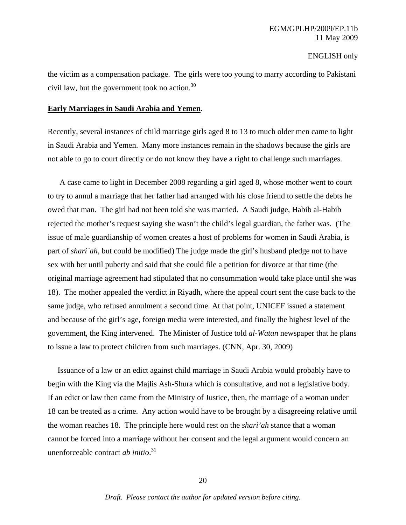the victim as a compensation package. The girls were too young to marry according to Pakistani civil law, but the government took no action. $30$ 

#### **Early Marriages in Saudi Arabia and Yemen**.

Recently, several instances of child marriage girls aged 8 to 13 to much older men came to light in Saudi Arabia and Yemen. Many more instances remain in the shadows because the girls are not able to go to court directly or do not know they have a right to challenge such marriages.

 A case came to light in December 2008 regarding a girl aged 8, whose mother went to court to try to annul a marriage that her father had arranged with his close friend to settle the debts he owed that man. The girl had not been told she was married. A Saudi judge, Habib al-Habib rejected the mother's request saying she wasn't the child's legal guardian, the father was. (The issue of male guardianship of women creates a host of problems for women in Saudi Arabia, is part of *shari`ah*, but could be modified) The judge made the girl's husband pledge not to have sex with her until puberty and said that she could file a petition for divorce at that time (the original marriage agreement had stipulated that no consummation would take place until she was 18). The mother appealed the verdict in Riyadh, where the appeal court sent the case back to the same judge, who refused annulment a second time. At that point, UNICEF issued a statement and because of the girl's age, foreign media were interested, and finally the highest level of the government, the King intervened. The Minister of Justice told *al-Watan* newspaper that he plans to issue a law to protect children from such marriages. (CNN, Apr. 30, 2009)

 Issuance of a law or an edict against child marriage in Saudi Arabia would probably have to begin with the King via the Majlis Ash-Shura which is consultative, and not a legislative body. If an edict or law then came from the Ministry of Justice, then, the marriage of a woman under 18 can be treated as a crime. Any action would have to be brought by a disagreeing relative until the woman reaches 18. The principle here would rest on the *shari'ah* stance that a woman cannot be forced into a marriage without her consent and the legal argument would concern an unenforceable contract *ab initio*. 31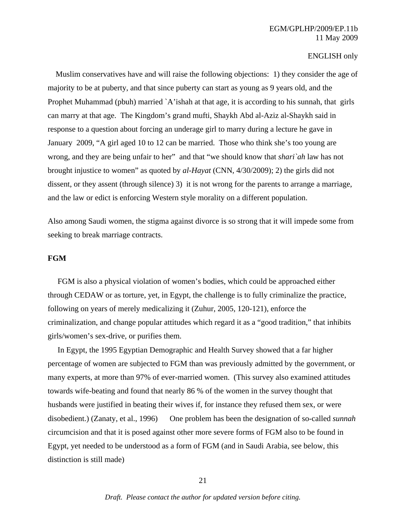Muslim conservatives have and will raise the following objections: 1) they consider the age of majority to be at puberty, and that since puberty can start as young as 9 years old, and the Prophet Muhammad (pbuh) married `A'ishah at that age, it is according to his sunnah, that girls can marry at that age. The Kingdom's grand mufti, Shaykh Abd al-Aziz al-Shaykh said in response to a question about forcing an underage girl to marry during a lecture he gave in January 2009, "A girl aged 10 to 12 can be married. Those who think she's too young are wrong, and they are being unfair to her" and that "we should know that *shari`ah* law has not brought injustice to women" as quoted by *al-Hayat* (CNN, 4/30/2009); 2) the girls did not dissent, or they assent (through silence) 3) it is not wrong for the parents to arrange a marriage, and the law or edict is enforcing Western style morality on a different population.

Also among Saudi women, the stigma against divorce is so strong that it will impede some from seeking to break marriage contracts.

#### **FGM**

 FGM is also a physical violation of women's bodies, which could be approached either through CEDAW or as torture, yet, in Egypt, the challenge is to fully criminalize the practice, following on years of merely medicalizing it (Zuhur, 2005, 120-121), enforce the criminalization, and change popular attitudes which regard it as a "good tradition," that inhibits girls/women's sex-drive, or purifies them.

 In Egypt, the 1995 Egyptian Demographic and Health Survey showed that a far higher percentage of women are subjected to FGM than was previously admitted by the government, or many experts, at more than 97% of ever-married women. (This survey also examined attitudes towards wife-beating and found that nearly 86 % of the women in the survey thought that husbands were justified in beating their wives if, for instance they refused them sex, or were disobedient.) (Zanaty, et al., 1996) One problem has been the designation of so-called *sunnah*  circumcision and that it is posed against other more severe forms of FGM also to be found in Egypt, yet needed to be understood as a form of FGM (and in Saudi Arabia, see below, this distinction is still made)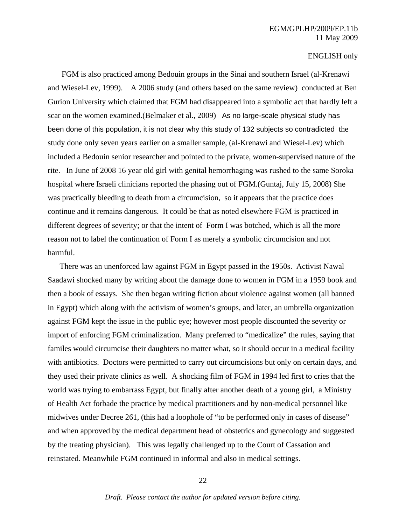## EGM/GPLHP/2009/EP.11b 11 May 2009

#### ENGLISH only

 FGM is also practiced among Bedouin groups in the Sinai and southern Israel (al-Krenawi and Wiesel-Lev, 1999). A 2006 study (and others based on the same review) conducted at Ben Gurion University which claimed that FGM had disappeared into a symbolic act that hardly left a scar on the women examined.(Belmaker et al., 2009) As no large-scale physical study has been done of this population, it is not clear why this study of 132 subjects so contradicted the study done only seven years earlier on a smaller sample, (al-Krenawi and Wiesel-Lev) which included a Bedouin senior researcher and pointed to the private, women-supervised nature of the rite. In June of 2008 16 year old girl with genital hemorrhaging was rushed to the same Soroka hospital where Israeli clinicians reported the phasing out of FGM.(Guntaj, July 15, 2008) She was practically bleeding to death from a circumcision, so it appears that the practice does continue and it remains dangerous. It could be that as noted elsewhere FGM is practiced in different degrees of severity; or that the intent of Form I was botched, which is all the more reason not to label the continuation of Form I as merely a symbolic circumcision and not harmful.

 There was an unenforced law against FGM in Egypt passed in the 1950s. Activist Nawal Saadawi shocked many by writing about the damage done to women in FGM in a 1959 book and then a book of essays. She then began writing fiction about violence against women (all banned in Egypt) which along with the activism of women's groups, and later, an umbrella organization against FGM kept the issue in the public eye; however most people discounted the severity or import of enforcing FGM criminalization. Many preferred to "medicalize" the rules, saying that familes would circumcise their daughters no matter what, so it should occur in a medical facility with antibiotics. Doctors were permitted to carry out circumcisions but only on certain days, and they used their private clinics as well. A shocking film of FGM in 1994 led first to cries that the world was trying to embarrass Egypt, but finally after another death of a young girl, a Ministry of Health Act forbade the practice by medical practitioners and by non-medical personnel like midwives under Decree 261, (this had a loophole of "to be performed only in cases of disease" and when approved by the medical department head of obstetrics and gynecology and suggested by the treating physician). This was legally challenged up to the Court of Cassation and reinstated. Meanwhile FGM continued in informal and also in medical settings.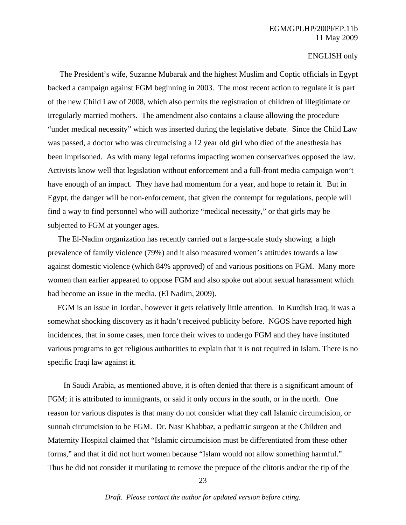The President's wife, Suzanne Mubarak and the highest Muslim and Coptic officials in Egypt backed a campaign against FGM beginning in 2003. The most recent action to regulate it is part of the new Child Law of 2008, which also permits the registration of children of illegitimate or irregularly married mothers. The amendment also contains a clause allowing the procedure "under medical necessity" which was inserted during the legislative debate. Since the Child Law was passed, a doctor who was circumcising a 12 year old girl who died of the anesthesia has been imprisoned. As with many legal reforms impacting women conservatives opposed the law. Activists know well that legislation without enforcement and a full-front media campaign won't have enough of an impact. They have had momentum for a year, and hope to retain it. But in Egypt, the danger will be non-enforcement, that given the contempt for regulations, people will find a way to find personnel who will authorize "medical necessity," or that girls may be subjected to FGM at younger ages.

 The El-Nadim organization has recently carried out a large-scale study showing a high prevalence of family violence (79%) and it also measured women's attitudes towards a law against domestic violence (which 84% approved) of and various positions on FGM. Many more women than earlier appeared to oppose FGM and also spoke out about sexual harassment which had become an issue in the media. (El Nadim, 2009).

 FGM is an issue in Jordan, however it gets relatively little attention. In Kurdish Iraq, it was a somewhat shocking discovery as it hadn't received publicity before. NGOS have reported high incidences, that in some cases, men force their wives to undergo FGM and they have instituted various programs to get religious authorities to explain that it is not required in Islam. There is no specific Iraqi law against it.

 In Saudi Arabia, as mentioned above, it is often denied that there is a significant amount of FGM; it is attributed to immigrants, or said it only occurs in the south, or in the north. One reason for various disputes is that many do not consider what they call Islamic circumcision, or sunnah circumcision to be FGM. Dr. Nasr Khabbaz, a pediatric surgeon at the Children and Maternity Hospital claimed that "Islamic circumcision must be differentiated from these other forms," and that it did not hurt women because "Islam would not allow something harmful." Thus he did not consider it mutilating to remove the prepuce of the clitoris and/or the tip of the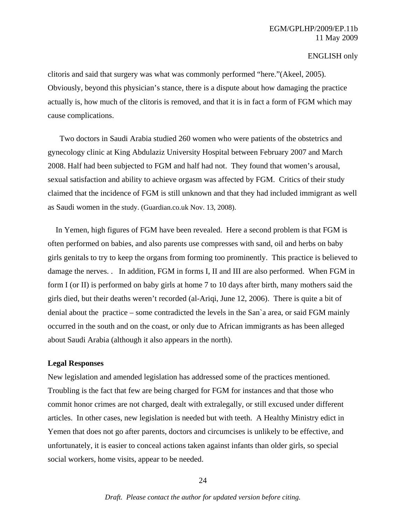clitoris and said that surgery was what was commonly performed "here."(Akeel, 2005). Obviously, beyond this physician's stance, there is a dispute about how damaging the practice actually is, how much of the clitoris is removed, and that it is in fact a form of FGM which may cause complications.

 Two doctors in Saudi Arabia studied 260 women who were patients of the obstetrics and gynecology clinic at King Abdulaziz University Hospital between February 2007 and March 2008. Half had been subjected to FGM and half had not. They found that women's arousal, sexual satisfaction and ability to achieve orgasm was affected by FGM. Critics of their study claimed that the incidence of FGM is still unknown and that they had included immigrant as well as Saudi women in the study. (Guardian.co.uk Nov. 13, 2008).

 In Yemen, high figures of FGM have been revealed. Here a second problem is that FGM is often performed on babies, and also parents use compresses with sand, oil and herbs on baby girls genitals to try to keep the organs from forming too prominently. This practice is believed to damage the nerves. . In addition, FGM in forms I, II and III are also performed. When FGM in form I (or II) is performed on baby girls at home 7 to 10 days after birth, many mothers said the girls died, but their deaths weren't recorded (al-Ariqi, June 12, 2006). There is quite a bit of denial about the practice – some contradicted the levels in the San`a area, or said FGM mainly occurred in the south and on the coast, or only due to African immigrants as has been alleged about Saudi Arabia (although it also appears in the north).

#### **Legal Responses**

New legislation and amended legislation has addressed some of the practices mentioned. Troubling is the fact that few are being charged for FGM for instances and that those who commit honor crimes are not charged, dealt with extralegally, or still excused under different articles. In other cases, new legislation is needed but with teeth. A Healthy Ministry edict in Yemen that does not go after parents, doctors and circumcises is unlikely to be effective, and unfortunately, it is easier to conceal actions taken against infants than older girls, so special social workers, home visits, appear to be needed.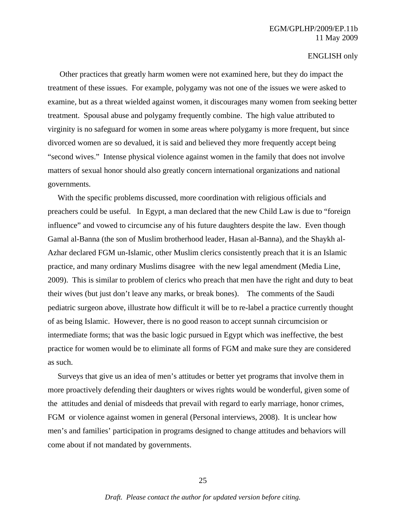## EGM/GPLHP/2009/EP.11b 11 May 2009

#### ENGLISH only

 Other practices that greatly harm women were not examined here, but they do impact the treatment of these issues. For example, polygamy was not one of the issues we were asked to examine, but as a threat wielded against women, it discourages many women from seeking better treatment. Spousal abuse and polygamy frequently combine. The high value attributed to virginity is no safeguard for women in some areas where polygamy is more frequent, but since divorced women are so devalued, it is said and believed they more frequently accept being "second wives." Intense physical violence against women in the family that does not involve matters of sexual honor should also greatly concern international organizations and national governments.

 With the specific problems discussed, more coordination with religious officials and preachers could be useful. In Egypt, a man declared that the new Child Law is due to "foreign influence" and vowed to circumcise any of his future daughters despite the law. Even though Gamal al-Banna (the son of Muslim brotherhood leader, Hasan al-Banna), and the Shaykh al-Azhar declared FGM un-Islamic, other Muslim clerics consistently preach that it is an Islamic practice, and many ordinary Muslims disagree with the new legal amendment (Media Line, 2009). This is similar to problem of clerics who preach that men have the right and duty to beat their wives (but just don't leave any marks, or break bones). The comments of the Saudi pediatric surgeon above, illustrate how difficult it will be to re-label a practice currently thought of as being Islamic. However, there is no good reason to accept sunnah circumcision or intermediate forms; that was the basic logic pursued in Egypt which was ineffective, the best practice for women would be to eliminate all forms of FGM and make sure they are considered as such.

 Surveys that give us an idea of men's attitudes or better yet programs that involve them in more proactively defending their daughters or wives rights would be wonderful, given some of the attitudes and denial of misdeeds that prevail with regard to early marriage, honor crimes, FGM or violence against women in general (Personal interviews, 2008). It is unclear how men's and families' participation in programs designed to change attitudes and behaviors will come about if not mandated by governments.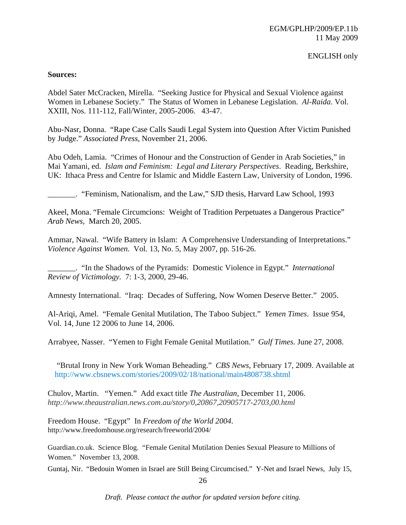#### **Sources:**

Abdel Sater McCracken, Mirella. "Seeking Justice for Physical and Sexual Violence against Women in Lebanese Society." The Status of Women in Lebanese Legislation. *Al-Raida*. Vol. XXIII, Nos. 111-112, Fall/Winter, 2005-2006. 43-47.

Abu-Nasr, Donna. "Rape Case Calls Saudi Legal System into Question After Victim Punished by Judge." *Associated Press*, November 21, 2006.

Abu Odeh, Lamia. "Crimes of Honour and the Construction of Gender in Arab Societies," in Mai Yamani, ed. *Islam and Feminism: Legal and Literary Perspectives*. Reading, Berkshire, UK: Ithaca Press and Centre for Islamic and Middle Eastern Law, University of London, 1996.

\_\_\_\_\_\_\_. "Feminism, Nationalism, and the Law," SJD thesis, Harvard Law School, 1993

Akeel, Mona. "Female Circumcions: Weight of Tradition Perpetuates a Dangerous Practice" *Arab News,* March 20, 2005.

Ammar, Nawal. "Wife Battery in Islam: A Comprehensive Understanding of Interpretations." *Violence Against Women*. Vol. 13, No. 5, May 2007, pp. 516-26.

\_\_\_\_\_\_\_. "In the Shadows of the Pyramids: Domestic Violence in Egypt." *International Review of Victimology.* 7: 1-3, 2000, 29-46.

Amnesty International. "Iraq: Decades of Suffering, Now Women Deserve Better." 2005.

Al-Ariqi, Amel. "Female Genital Mutilation, The Taboo Subject." *Yemen Times*. Issue 954, Vol. 14, June 12 2006 to June 14, 2006.

Arrabyee, Nasser. "Yemen to Fight Female Genital Mutilation." *Gulf Times*. June 27, 2008.

 "Brutal Irony in New York Woman Beheading." *CBS News*, February 17, 2009. Available at http://www.cbsnews.com/stories/2009/02/18/national/main4808738.shtml

Chulov, Martin. "Yemen." Add exact title *The Australian*, December 11, 2006. *http://www.theaustralian.news.com.au/story/0,20867,20905717-2703,00.html*

Freedom House. "Egypt" In *Freedom of the World 2004*. http://www.freedomhouse.org/research/freeworld/2004/

Guardian.co.uk. Science Blog. "Female Genital Mutilation Denies Sexual Pleasure to Millions of Women." November 13, 2008.

Guntaj, Nir. "Bedouin Women in Israel are Still Being Circumcised." Y-Net and Israel News, July 15,

*Draft. Please contact the author for updated version before citing.*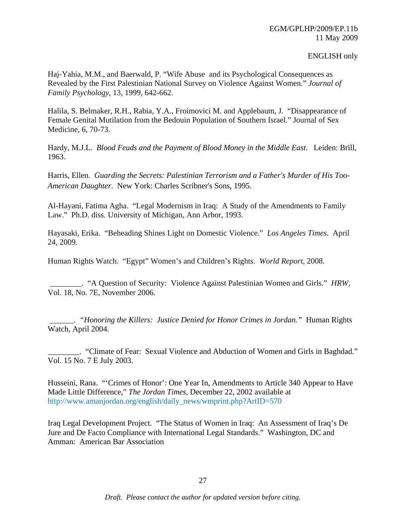Haj-Yahia, M.M., and Baerwald, P. "Wife Abuse and its Psychological Consequences as Revealed by the First Palestinian National Survey on Violence Against Women." *Journal of Family Psychology*, 13, 1999, 642-662.

Halila, S. Belmaker, R.H., Rabia, Y.A., Froimovici M. and Applebaum, J. "Disappearance of Female Genital Mutilation from the Bedouin Population of Southern Israel." Journal of Sex Medicine, 6, 70-73.

Hardy, M.J.L. *Blood Feuds and the Payment of Blood Money in the Middle East*. Leiden: Brill, 1963.

Harris, Ellen. *Guarding the Secrets: Palestinian Terrorism and a Father's Murder of His Too-American Daughter*. New York: Charles Scribner's Sons, 1995.

Al-Hayani, Fatima Agha. "Legal Modernism in Iraq: A Study of the Amendments to Family Law." Ph.D. diss. University of Michigan, Ann Arbor, 1993.

Hayasaki, Erika. "Beheading Shines Light on Domestic Violence." *Los Angeles Times*. April 24, 2009.

Human Rights Watch. "Egypt" Women's and Children's Rights. *World Report*, 2008.

 \_\_\_\_\_\_\_\_. "A Question of Security: Violence Against Palestinian Women and Girls." *HRW*, Vol. 18, No. 7E, November 2006.

 \_\_\_\_\_\_. *"Honoring the Killers: Justice Denied for Honor Crimes in Jordan."* Human Rights Watch*,* April 2004.

\_\_\_\_\_\_\_\_. "Climate of Fear: Sexual Violence and Abduction of Women and Girls in Baghdad." Vol. 15 No. 7 E July 2003.

Husseini, Rana. "'Crimes of Honor': One Year In, Amendments to Article 340 Appear to Have Made Little Difference," *The Jordan Times*, December 22, 2002 available at http://www.amanjordan.org/english/daily\_news/wmprint.php?ArtID=570

Iraq Legal Development Project. "The Status of Women in Iraq: An Assessment of Iraq's De Jure and De Facto Compliance with International Legal Standards." Washington, DC and Amman: American Bar Association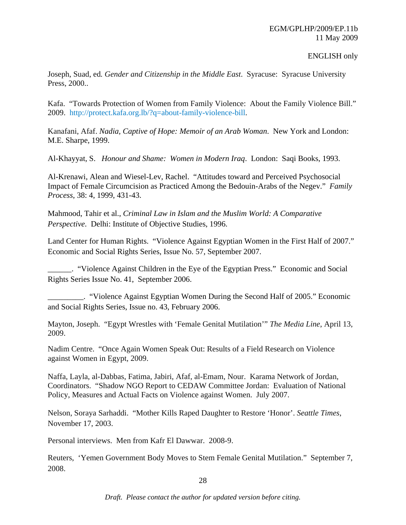Joseph, Suad, ed*. Gender and Citizenship in the Middle East*. Syracuse: Syracuse University Press, 2000..

Kafa. "Towards Protection of Women from Family Violence: About the Family Violence Bill." 2009. http://protect.kafa.org.lb/?q=about-family-violence-bill.

Kanafani, Afaf. *Nadia, Captive of Hope: Memoir of an Arab Woman*. New York and London: M.E. Sharpe, 1999.

Al-Khayyat, S. *Honour and Shame: Women in Modern Iraq*. London: Saqi Books, 1993.

Al-Krenawi, Alean and Wiesel-Lev, Rachel. "Attitudes toward and Perceived Psychosocial Impact of Female Circumcision as Practiced Among the Bedouin-Arabs of the Negev." *Family Process*, 38: 4, 1999, 431-43.

Mahmood, Tahir et al., *Criminal Law in Islam and the Muslim World: A Comparative Perspective*. Delhi: Institute of Objective Studies, 1996.

Land Center for Human Rights. "Violence Against Egyptian Women in the First Half of 2007." Economic and Social Rights Series, Issue No. 57, September 2007.

\_\_\_\_\_\_. "Violence Against Children in the Eye of the Egyptian Press." Economic and Social Rights Series Issue No. 41, September 2006.

\_\_\_\_\_\_\_\_\_. "Violence Against Egyptian Women During the Second Half of 2005." Economic and Social Rights Series, Issue no. 43, February 2006.

Mayton, Joseph. "Egypt Wrestles with 'Female Genital Mutilation'" *The Media Line*, April 13, 2009.

Nadim Centre. "Once Again Women Speak Out: Results of a Field Research on Violence against Women in Egypt, 2009.

Naffa, Layla, al-Dabbas, Fatima, Jabiri, Afaf, al-Emam, Nour. Karama Network of Jordan, Coordinators. "Shadow NGO Report to CEDAW Committee Jordan: Evaluation of National Policy, Measures and Actual Facts on Violence against Women. July 2007.

Nelson, Soraya Sarhaddi. "Mother Kills Raped Daughter to Restore 'Honor'. *Seattle Times*, November 17, 2003.

Personal interviews. Men from Kafr El Dawwar. 2008-9.

Reuters, 'Yemen Government Body Moves to Stem Female Genital Mutilation." September 7, 2008.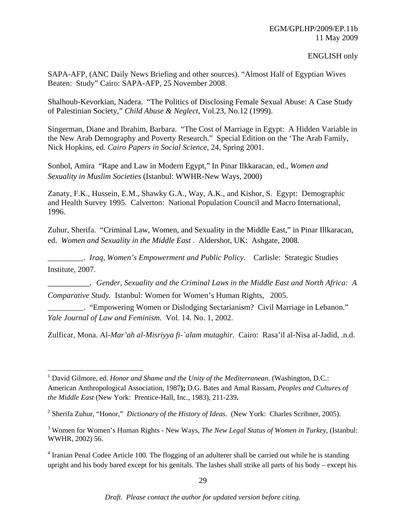SAPA-AFP, (ANC Daily News Briefing and other sources). "Almost Half of Egyptian Wives Beaten: Study" Cairo: SAPA-AFP, 25 November 2008.

Shalhoub-Kevorkian, Nadera. "The Politics of Disclosing Female Sexual Abuse: A Case Study of Palestinian Society," *Child Abuse & Neglect*, Vol.23, No.12 (1999).

Singerman, Diane and Ibrahim, Barbara. "The Cost of Marriage in Egypt: A Hidden Variable in the New Arab Demography and Poverty Research." Special Edition on the 'The Arab Family, Nick Hopkins, ed. *Cairo Papers in Social Science*, 24, Spring 2001.

Sonbol, Amira "Rape and Law in Modern Egypt," In Pinar Ilkkaracan, ed., *Women and Sexuality in Muslim Societies* (Istanbul: WWHR-New Ways, 2000)

Zanaty, F.K., Hussein, E.M., Shawky G.A., Way, A.K., and Kishor, S. Egypt: Demographic and Health Survey 1995. Calverton: National Population Council and Macro International, 1996.

Zuhur, Sherifa. "Criminal Law, Women, and Sexuality in the Middle East," in Pinar Illkaracan, ed. *Women and Sexuality in the Middle East* . Aldershot, UK: Ashgate, 2008.

\_\_\_\_\_\_\_\_\_. *Iraq, Women's Empowerment and Public Policy.* Carlisle: Strategic Studies Institute, 2007.

\_\_\_\_\_\_\_\_\_. *Gender, Sexuality and the Criminal Laws in the Middle East and North Africa: A Comparative Study.* Istanbul: Women for Women's Human Rights, 2005.

\_\_\_\_\_\_\_\_\_. "Empowering Women or Dislodging Sectarianism? Civil Marriage in Lebanon." *Yale Journal of Law and Feminism*. Vol. 14. No. 1, 2002.

Zulficar, Mona. Al*-Mar'ah al-Misriyya fi-`alam mutaghir.* Cairo: Rasa'il al-Nisa al-Jadid, .n.d.

<sup>&</sup>lt;sup>1</sup> David Gilmore, ed. *Honor and Shame and the Unity of the Mediterranean*. (Washington, D.C.: American Anthropological Association, 1987**);** D.G. Bates and Amal Rassam, *Peoples and Cultures of the Middle East* (New York: Prentice-Hall, Inc., 1983), 211-239**.**

<sup>2</sup> Sherifa Zuhur, "Honor," *Dictionary of the History of Ideas*. (New York: Charles Scribner, 2005).

<sup>3</sup> Women for Women's Human Rights - New Ways, *The New Legal Status of Women in Turkey*, (Istanbul: WWHR, 2002) 56.

<sup>&</sup>lt;sup>4</sup> Iranian Penal Codee Article 100. The flogging of an adulterer shall be carried out while he is standing upright and his body bared except for his genitals. The lashes shall strike all parts of his body – except his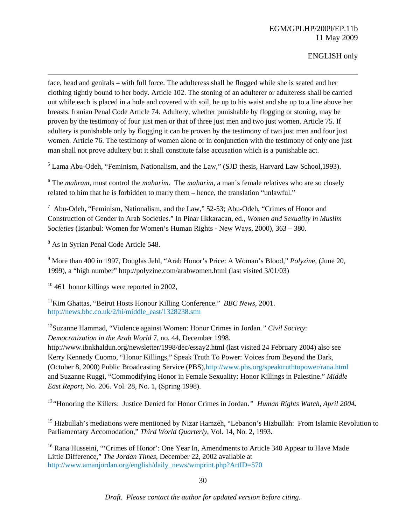face, head and genitals – with full force. The adulteress shall be flogged while she is seated and her clothing tightly bound to her body. Article 102. The stoning of an adulterer or adulteress shall be carried out while each is placed in a hole and covered with soil, he up to his waist and she up to a line above her breasts. Iranian Penal Code Article 74. Adultery, whether punishable by flogging or stoning, may be proven by the testimony of four just men or that of three just men and two just women. Article 75. If adultery is punishable only by flogging it can be proven by the testimony of two just men and four just women. Article 76. The testimony of women alone or in conjunction with the testimony of only one just man shall not prove adultery but it shall constitute false accusation which is a punishable act.

<u> 1989 - Johann Stoff, amerikansk politiker (d. 1989)</u>

 $<sup>5</sup>$  Lama Abu-Odeh, "Feminism, Nationalism, and the Law," (SJD thesis, Harvard Law School, 1993).</sup>

6 The *mahram,* must control the *maharim*. The *maharim*, a man's female relatives who are so closely related to him that he is forbidden to marry them – hence, the translation "unlawful."

<sup>7</sup> Abu-Odeh, "Feminism, Nationalism, and the Law," 52-53; Abu-Odeh, "Crimes of Honor and Construction of Gender in Arab Societies." In Pinar Ilkkaracan, ed., *Women and Sexuality in Muslim Societies* (Istanbul: Women for Women's Human Rights - New Ways, 2000), 363 – 380.

<sup>8</sup> As in Syrian Penal Code Article 548.

9 More than 400 in 1997, Douglas Jehl, "Arab Honor's Price: A Woman's Blood," *Polyzin*e, (June 20, 1999), a "high number" http://polyzine.com/arabwomen.html (last visited 3/01/03)

 $10\,461$  honor killings were reported in 2002.

11Kim Ghattas, "Beirut Hosts Honour Killing Conference." *BBC News*, 2001. http://news.bbc.co.uk/2/hi/middle\_east/1328238.stm

12Suzanne Hammad, "Violence against Women: Honor Crimes in Jordan*." Civil Society*: *Democratization in the Arab World* 7, no. 44, December 1998.

http://www.ibnkhaldun.org/newsletter/1998/dec/essay2.html (last visited 24 February 2004) also see Kerry Kennedy Cuomo, "Honor Killings," Speak Truth To Power: Voices from Beyond the Dark, (October 8, 2000) Public Broadcasting Service (PBS),http://www.pbs.org/speaktruthtopower/rana.html and Suzanne Ruggi, "Commodifying Honor in Female Sexuality: Honor Killings in Palestine." *Middle East Report*, No. 206. Vol. 28, No. 1, (Spring 1998).

*13"*Honoring the Killers: Justice Denied for Honor Crimes in Jordan*." Human Rights Watch, April 2004.* 

<sup>15</sup> Hizbullah's mediations were mentioned by Nizar Hamzeh, "Lebanon's Hizbullah: From Islamic Revolution to Parliamentary Accomodation," *Third World Quarterly*, Vol. 14, No. 2, 1993.

<sup>16</sup> Rana Husseini, "'Crimes of Honor': One Year In, Amendments to Article 340 Appear to Have Made Little Difference," *The Jordan Times*, December 22, 2002 available at http://www.amanjordan.org/english/daily\_news/wmprint.php?ArtID=570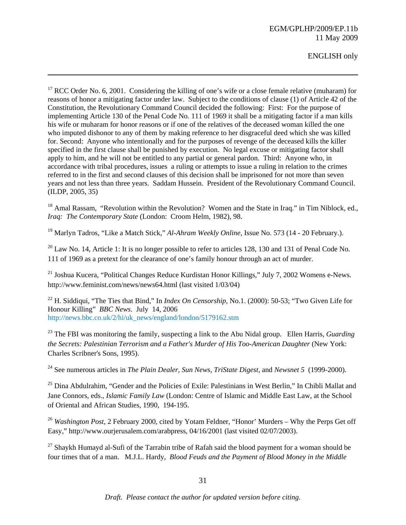## EGM/GPLHP/2009/EP.11b 11 May 2009

ENGLISH only

 $17$  RCC Order No. 6, 2001. Considering the killing of one's wife or a close female relative (muharam) for reasons of honor a mitigating factor under law. Subject to the conditions of clause (1) of Article 42 of the Constitution, the Revolutionary Command Council decided the following: First: For the purpose of implementing Article 130 of the Penal Code No. 111 of 1969 it shall be a mitigating factor if a man kills his wife or muharam for honor reasons or if one of the relatives of the deceased woman killed the one who imputed dishonor to any of them by making reference to her disgraceful deed which she was killed for. Second: Anyone who intentionally and for the purposes of revenge of the deceased kills the killer specified in the first clause shall be punished by execution. No legal excuse or mitigating factor shall apply to him, and he will not be entitled to any partial or general pardon. Third: Anyone who, in accordance with tribal procedures, issues a ruling or attempts to issue a ruling in relation to the crimes referred to in the first and second clauses of this decision shall be imprisoned for not more than seven years and not less than three years. Saddam Hussein. President of the Revolutionary Command Council. (ILDP, 2005, 35)

<u> 1989 - Johann Stoff, amerikansk politiker (d. 1989)</u>

<sup>18</sup> Amal Rassam, "Revolution within the Revolution? Women and the State in Iraq." in Tim Niblock, ed., *Iraq: The Contemporary State* (London: Croom Helm, 1982), 98.

19 Marlyn Tadros, "Like a Match Stick," *Al-Ahram Weekly Online*, Issue No. 573 (14 - 20 February.).

 $^{20}$  Law No. 14, Article 1: It is no longer possible to refer to articles 128, 130 and 131 of Penal Code No. 111 of 1969 as a pretext for the clearance of one's family honour through an act of murder.

<sup>21</sup> Joshua Kucera, "Political Changes Reduce Kurdistan Honor Killings," July 7, 2002 Womens e-News. http://www.feminist.com/news/news64.html (last visited 1/03/04)

<sup>22</sup> H. Siddiqui, "The Ties that Bind," In *Index On Censorship*, No.1. (2000): 50-53; "Two Given Life for Honour Killing" *BBC News*. July 14, 2006 http://news.bbc.co.uk/2/hi/uk\_news/england/london/5179162.stm

23 The FBI was monitoring the family, suspecting a link to the Abu Nidal group. Ellen Harris, *Guarding the Secrets: Palestinian Terrorism and a Father's Murder of His Too-American Daughter* (New York: Charles Scribner's Sons, 1995).

24 See numerous articles in *The Plain Dealer*, *Sun News*, *TriState Digest,* and *Newsnet 5* (1999-2000).

<sup>25</sup> Dina Abdulrahim, "Gender and the Policies of Exile: Palestinians in West Berlin," In Chibli Mallat and Jane Connors, eds., *Islamic Family Law* (London: Centre of Islamic and Middle East Law, at the School of Oriental and African Studies, 1990, 194-195.

<sup>26</sup> *Washington Post*, 2 February 2000, cited by Yotam Feldner, "Honor' Murders – Why the Perps Get off Easy," http://www.ourjerusalem.com/arabpress, 04/16/2001 (last visited 02/07/2003).

 $27$  Shaykh Humayd al-Sufi of the Tarrabin tribe of Rafah said the blood payment for a woman should be four times that of a man. M.J.L. Hardy, *Blood Feuds and the Payment of Blood Money in the Middle*